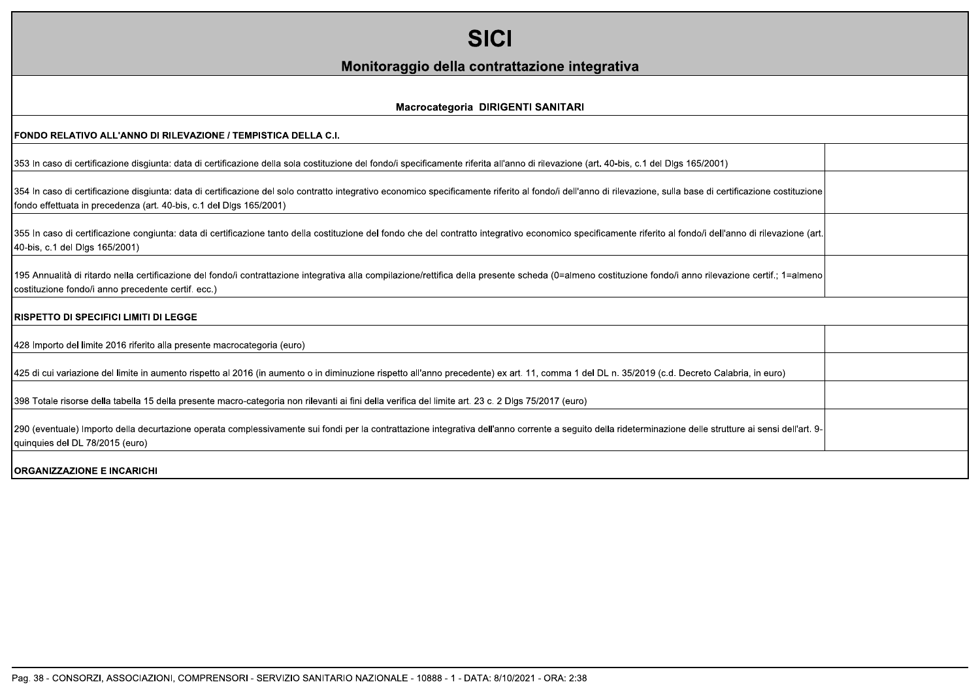| <b>SICI</b>                                                                                                                                                                                                                                                                            |  |
|----------------------------------------------------------------------------------------------------------------------------------------------------------------------------------------------------------------------------------------------------------------------------------------|--|
| Monitoraggio della contrattazione integrativa                                                                                                                                                                                                                                          |  |
| Macrocategoria DIRIGENTI SANITARI                                                                                                                                                                                                                                                      |  |
| FONDO RELATIVO ALL'ANNO DI RILEVAZIONE / TEMPISTICA DELLA C.I.                                                                                                                                                                                                                         |  |
| 353 In caso di certificazione disgiunta: data di certificazione della sola costituzione del fondo/i specificamente riferita all'anno di rilevazione (art. 40-bis, c.1 del Dlgs 165/2001)                                                                                               |  |
| 354 In caso di certificazione disgiunta: data di certificazione del solo contratto integrativo economico specificamente riferito al fondo/i dell'anno di rilevazione, sulla base di certificazione costituzione<br>fondo effettuata in precedenza (art. 40-bis, c.1 del Dlgs 165/2001) |  |
| 355 In caso di certificazione congiunta: data di certificazione tanto della costituzione del fondo che del contratto integrativo economico specificamente riferito al fondo/i dell'anno di rilevazione (art.<br>40-bis, c.1 del Dlgs 165/2001)                                         |  |
| 195 Annualità di ritardo nella certificazione del fondo/i contrattazione integrativa alla compilazione/rettifica della presente scheda (0=almeno costituzione fondo/i anno rilevazione certif.; 1=almeno<br>costituzione fondo/i anno precedente certif. ecc.)                         |  |
| <b>RISPETTO DI SPECIFICI LIMITI DI LEGGE</b>                                                                                                                                                                                                                                           |  |
| 428 Importo del limite 2016 riferito alla presente macrocategoria (euro)                                                                                                                                                                                                               |  |
| 425 di cui variazione del limite in aumento rispetto al 2016 (in aumento o in diminuzione rispetto all'anno precedente) ex art. 11, comma 1 del DL n. 35/2019 (c.d. Decreto Calabria, in euro)                                                                                         |  |
| 398 Totale risorse della tabella 15 della presente macro-categoria non rilevanti ai fini della verifica del limite art. 23 c. 2 Dlgs 75/2017 (euro)                                                                                                                                    |  |
| 290 (eventuale) Importo della decurtazione operata complessivamente sui fondi per la contrattazione integrativa dell'anno corrente a seguito della rideterminazione delle strutture ai sensi dell'art. 9-<br>quinquies del DL 78/2015 (euro)                                           |  |
| <b>ORGANIZZAZIONE E INCARICHI</b>                                                                                                                                                                                                                                                      |  |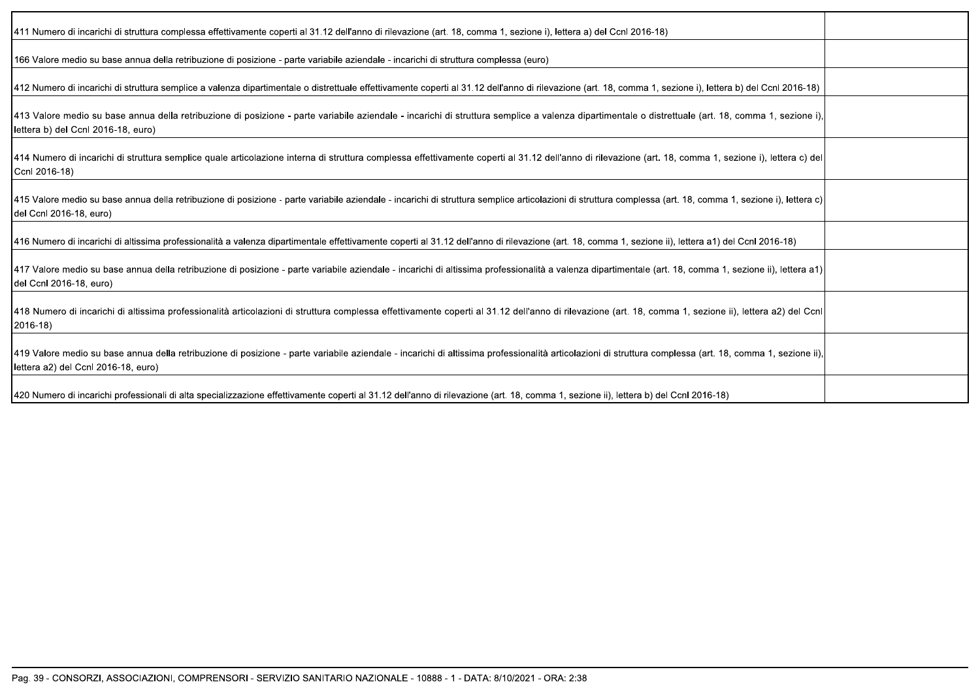| (411 Numero di incarichi di struttura complessa effettivamente coperti al 31.12 dell'anno di rilevazione (art. 18, comma 1, sezione i), lettera a) del Ccnl 2016-18                                                                              |  |
|--------------------------------------------------------------------------------------------------------------------------------------------------------------------------------------------------------------------------------------------------|--|
| 166 Valore medio su base annua della retribuzione di posizione - parte variabile aziendale - incarichi di struttura complessa (euro)                                                                                                             |  |
| 412 Numero di incarichi di struttura semplice a valenza dipartimentale o distrettuale effettivamente coperti al 31.12 dell'anno di rilevazione (art. 18, comma 1, sezione i), lettera b) del Ccnl 2016-18)                                       |  |
| 413 Valore medio su base annua della retribuzione di posizione - parte variabile aziendale - incarichi di struttura semplice a valenza dipartimentale o distrettuale (art. 18, comma 1, sezione i),<br>lettera b) del Ccnl 2016-18, euro)        |  |
| [414 Numero di incarichi di struttura semplice quale articolazione interna di struttura complessa effettivamente coperti al 31.12 dell'anno di rilevazione (art. 18, comma 1, sezione i), lettera c) del<br>Ccnl 2016-18)                        |  |
| [415 Valore medio su base annua della retribuzione di posizione - parte variabile aziendale - incarichi di struttura semplice articolazioni di struttura complessa (art. 18, comma 1, sezione i), lettera c)<br>del Ccnl 2016-18, euro)          |  |
| (416 Numero di incarichi di altissima professionalità a valenza dipartimentale effettivamente coperti al 31.12 dell'anno di rilevazione (art. 18, comma 1, sezione ii), lettera a1) del Ccnl 2016-18)                                            |  |
| [417 Valore medio su base annua della retribuzione di posizione - parte variabile aziendale - incarichi di altissima professionalità a valenza dipartimentale (art. 18, comma 1, sezione ii), lettera a1)<br>del Ccnl 2016-18, euro)             |  |
| [418 Numero di incarichi di altissima professionalità articolazioni di struttura complessa effettivamente coperti al 31.12 dell'anno di rilevazione (art. 18, comma 1, sezione ii), lettera a2) del Ccnl<br>2016-18)                             |  |
| [419 Valore medio su base annua della retribuzione di posizione - parte variabile aziendale - incarichi di altissima professionalità articolazioni di struttura complessa (art. 18, comma 1, sezione ii),<br>lettera a2) del Ccnl 2016-18, euro) |  |
| 420 Numero di incarichi professionali di alta specializzazione effettivamente coperti al 31.12 dell'anno di rilevazione (art. 18, comma 1, sezione ii), lettera b) del Ccnl 2016-18)                                                             |  |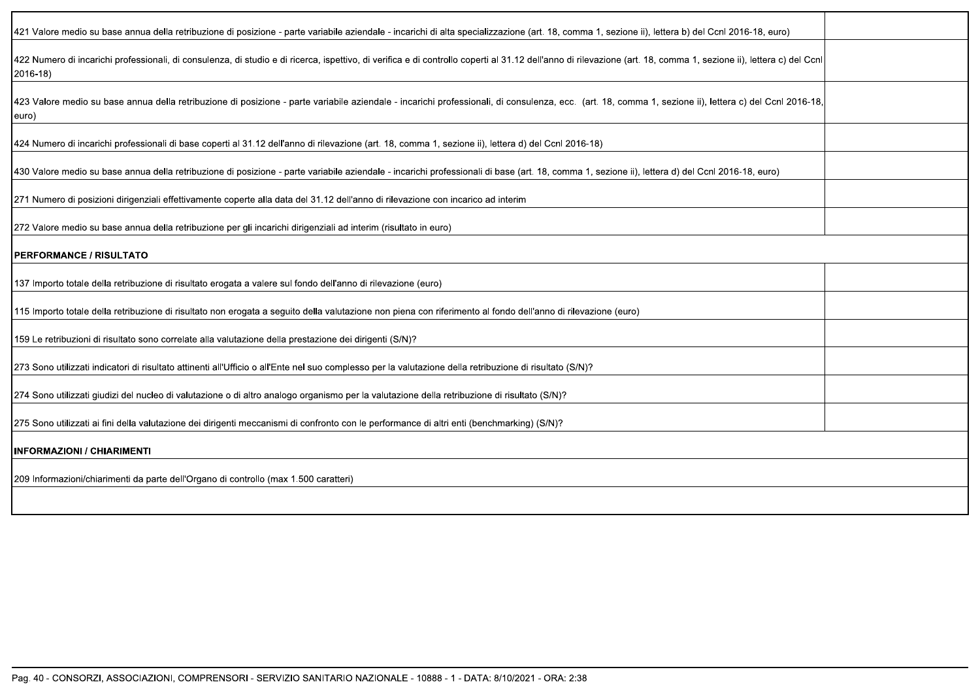| 421 Valore medio su base annua della retribuzione di posizione - parte variabile aziendale - incarichi di alta specializzazione (art. 18, comma 1, sezione ii), lettera b) del Ccnl 2016-18, euro)                            |  |
|-------------------------------------------------------------------------------------------------------------------------------------------------------------------------------------------------------------------------------|--|
| 422 Numero di incarichi professionali, di consulenza, di studio e di ricerca, ispettivo, di verifica e di controllo coperti al 31.12 dell'anno di rilevazione (art. 18, comma 1, sezione ii), lettera c) del Ccnl<br>2016-18) |  |
| 423 Valore medio su base annua della retribuzione di posizione - parte variabile aziendale - incarichi professionali, di consulenza, ecc. (art. 18, comma 1, sezione ii), lettera c) del Ccnl 2016-18,<br>euro)               |  |
| 424 Numero di incarichi professionali di base coperti al 31.12 dell'anno di rilevazione (art. 18, comma 1, sezione ii), lettera d) del Ccnl 2016-18)                                                                          |  |
| 430 Valore medio su base annua della retribuzione di posizione - parte variabile aziendale - incarichi professionali di base (art. 18, comma 1, sezione ii), lettera d) del Ccnl 2016-18, euro)                               |  |
| 271 Numero di posizioni dirigenziali effettivamente coperte alla data del 31.12 dell'anno di rilevazione con incarico ad interim                                                                                              |  |
| [272 Valore medio su base annua della retribuzione per gli incarichi dirigenziali ad interim (risultato in euro)                                                                                                              |  |
| <b>PERFORMANCE / RISULTATO</b>                                                                                                                                                                                                |  |
| 137 Importo totale della retribuzione di risultato erogata a valere sul fondo dell'anno di rilevazione (euro)                                                                                                                 |  |
| 115 Importo totale della retribuzione di risultato non erogata a seguito della valutazione non piena con riferimento al fondo dell'anno di rilevazione (euro)                                                                 |  |
| ?59 Le retribuzioni di risultato sono correlate alla valutazione della prestazione dei dirigenti (S/N)                                                                                                                        |  |
| 273 Sono utilizzati indicatori di risultato attinenti all'Ufficio o all'Ente nel suo complesso per la valutazione della retribuzione di risultato (S/N)?                                                                      |  |
| 274 Sono utilizzati giudizi del nucleo di valutazione o di altro analogo organismo per la valutazione della retribuzione di risultato (S/N)?                                                                                  |  |
| 275 Sono utilizzati ai fini della valutazione dei dirigenti meccanismi di confronto con le performance di altri enti (benchmarking) (S/N)?                                                                                    |  |
| <b>INFORMAZIONI / CHIARIMENTI</b>                                                                                                                                                                                             |  |
| 209 Informazioni/chiarimenti da parte dell'Organo di controllo (max 1.500 caratteri)                                                                                                                                          |  |
|                                                                                                                                                                                                                               |  |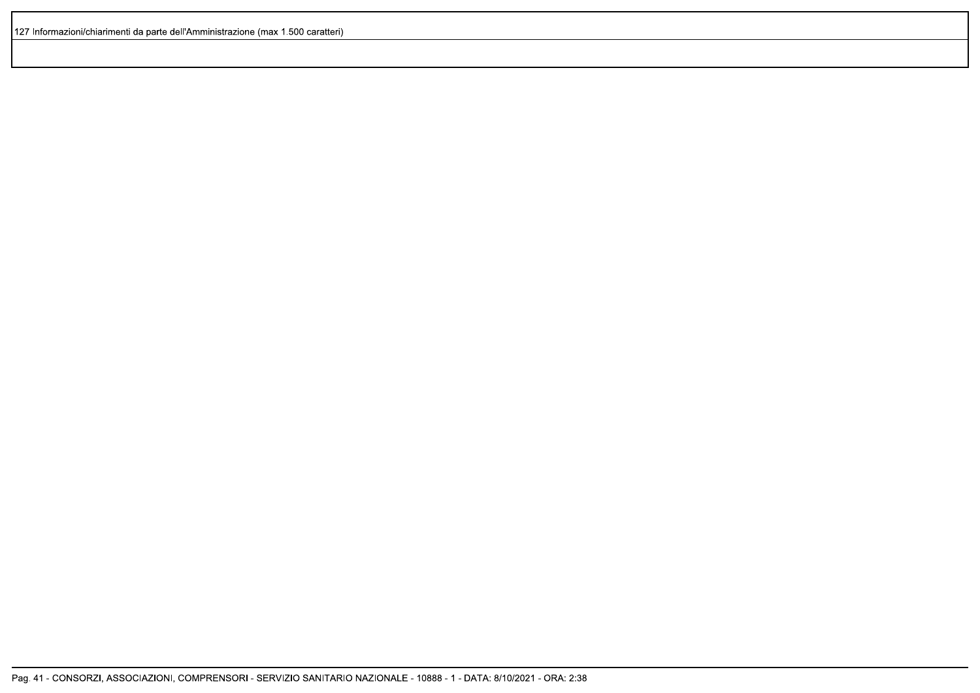127 Informazioni/chiarimenti da parte dell'Amministrazione (max 1.500 caratteri)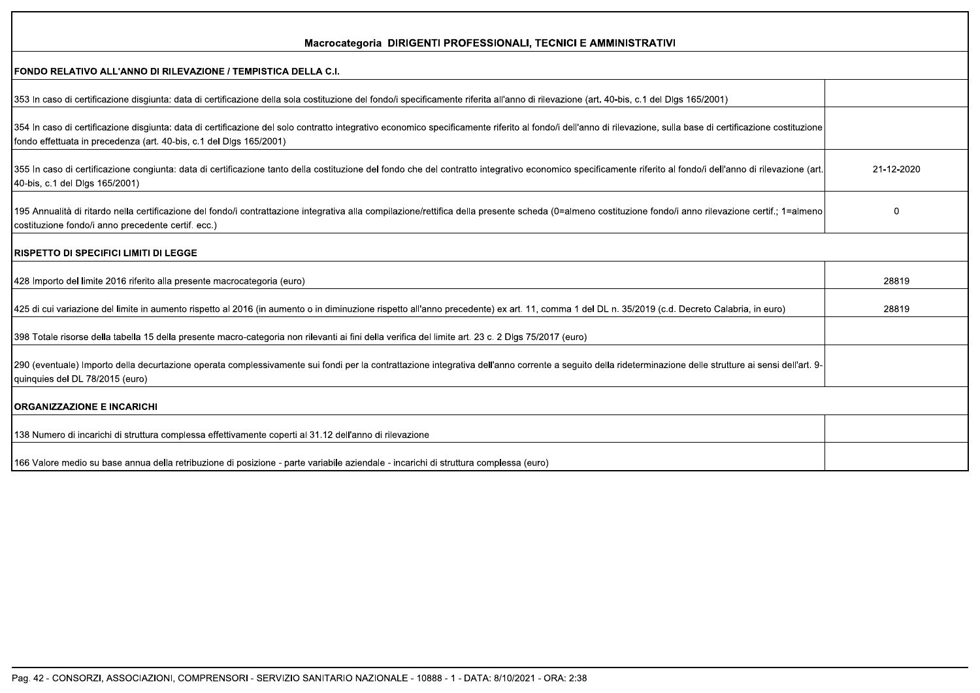| Macrocategoria DIRIGENTI PROFESSIONALI, TECNICI E AMMINISTRATIVI                                                                                                                                                                                                                       |            |
|----------------------------------------------------------------------------------------------------------------------------------------------------------------------------------------------------------------------------------------------------------------------------------------|------------|
| FONDO RELATIVO ALL'ANNO DI RILEVAZIONE / TEMPISTICA DELLA C.I.                                                                                                                                                                                                                         |            |
| 353 In caso di certificazione disgiunta: data di certificazione della sola costituzione del fondo/i specificamente riferita all'anno di rilevazione (art. 40-bis, c.1 del Dlgs 165/2001)                                                                                               |            |
| 354 In caso di certificazione disgiunta: data di certificazione del solo contratto integrativo economico specificamente riferito al fondo/i dell'anno di rilevazione, sulla base di certificazione costituzione<br>fondo effettuata in precedenza (art. 40-bis, c.1 del Dlgs 165/2001) |            |
| 355 In caso di certificazione congiunta: data di certificazione tanto della costituzione del fondo che del contratto integrativo economico specificamente riferito al fondo/i dell'anno di rilevazione (art<br>40-bis, c.1 del Dlgs 165/2001)                                          | 21-12-2020 |
| 195 Annualità di ritardo nella certificazione del fondo/i contrattazione integrativa alla compilazione/rettifica della presente scheda (0=almeno costituzione fondo/i anno rilevazione certif.; 1=almeno<br>costituzione fondo/i anno precedente certif. ecc.)                         | $\Omega$   |
| <b>IRISPETTO DI SPECIFICI LIMITI DI LEGGE</b>                                                                                                                                                                                                                                          |            |
| 428 Importo del limite 2016 riferito alla presente macrocategoria (euro)                                                                                                                                                                                                               | 28819      |
| 425 di cui variazione del limite in aumento rispetto al 2016 (in aumento o in diminuzione rispetto all'anno precedente) ex art. 11, comma 1 del DL n. 35/2019 (c.d. Decreto Calabria, in euro)                                                                                         | 28819      |
| 398 Totale risorse della tabella 15 della presente macro-categoria non rilevanti ai fini della verifica del limite art. 23 c. 2 Dlgs 75/2017 (euro)                                                                                                                                    |            |
| 290 (eventuale) Importo della decurtazione operata complessivamente sui fondi per la contrattazione integrativa dell'anno corrente a seguito della rideterminazione delle strutture ai sensi dell'art. 9-<br>quinquies del DL 78/2015 (euro)                                           |            |
| <b>ORGANIZZAZIONE E INCARICHI</b>                                                                                                                                                                                                                                                      |            |
| 138 Numero di incarichi di struttura complessa effettivamente coperti al 31.12 dell'anno di rilevazione                                                                                                                                                                                |            |
| 166 Valore medio su base annua della retribuzione di posizione - parte variabile aziendale - incarichi di struttura complessa (euro)                                                                                                                                                   |            |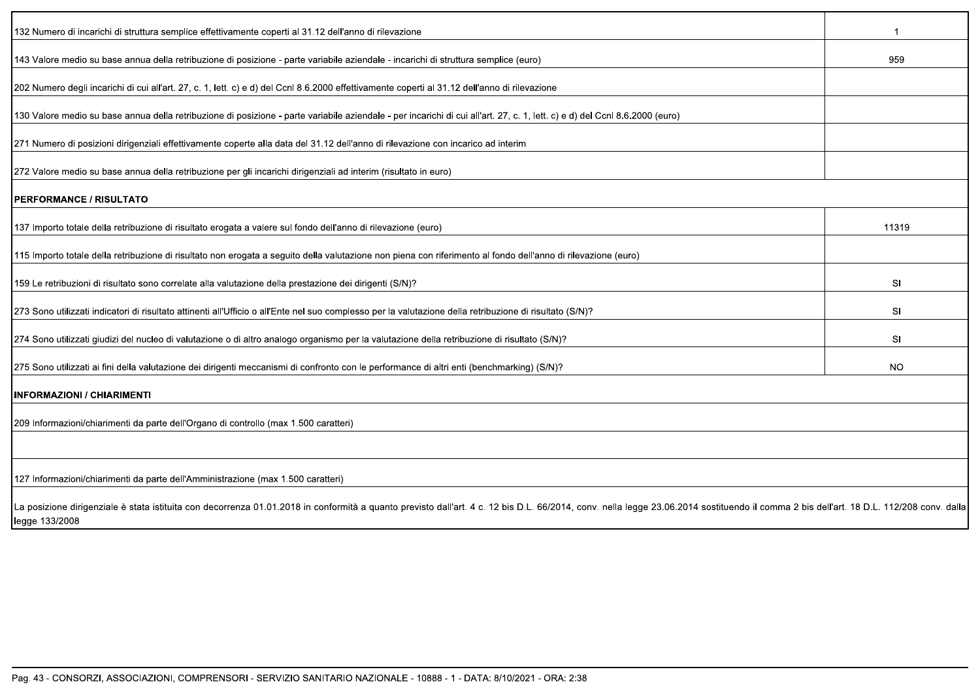| 132 Numero di incarichi di struttura semplice effettivamente coperti al 31.12 dell'anno di rilevazione                                                                                                                         |                |
|--------------------------------------------------------------------------------------------------------------------------------------------------------------------------------------------------------------------------------|----------------|
| 143 Valore medio su base annua della retribuzione di posizione - parte variabile aziendale - incarichi di struttura semplice (euro)                                                                                            | 959            |
| 202 Numero degli incarichi di cui all'art. 27, c. 1, lett. c) e d) del Ccnl 8.6.2000 effettivamente coperti al 31.12 dell'anno di rilevazione                                                                                  |                |
| 130 Valore medio su base annua della retribuzione di posizione - parte variabile aziendale - per incarichi di cui all'art. 27, c. 1, lett. c) e d) del Ccnl 8.6.2000 (euro)                                                    |                |
| 271 Numero di posizioni dirigenziali effettivamente coperte alla data del 31.12 dell'anno di rilevazione con incarico ad interim                                                                                               |                |
| 272 Valore medio su base annua della retribuzione per gli incarichi dirigenziali ad interim (risultato in euro)                                                                                                                |                |
| PERFORMANCE / RISULTATO                                                                                                                                                                                                        |                |
| 137 Importo totale della retribuzione di risultato erogata a valere sul fondo dell'anno di rilevazione (euro)                                                                                                                  | 11319          |
| 115 Importo totale della retribuzione di risultato non erogata a seguito della valutazione non piena con riferimento al fondo dell'anno di rilevazione (euro)                                                                  |                |
| 159 Le retribuzioni di risultato sono correlate alla valutazione della prestazione dei dirigenti (S/N)?                                                                                                                        | <b>SI</b>      |
| 273 Sono utilizzati indicatori di risultato attinenti all'Ufficio o all'Ente nel suo complesso per la valutazione della retribuzione di risultato (S/N)?                                                                       | <b>SI</b>      |
| 274 Sono utilizzati giudizi del nucleo di valutazione o di altro analogo organismo per la valutazione della retribuzione di risultato (S/N)?                                                                                   | S <sub>l</sub> |
| 275 Sono utilizzati ai fini della valutazione dei dirigenti meccanismi di confronto con le performance di altri enti (benchmarking) (S/N)?                                                                                     | NO.            |
| <b>INFORMAZIONI / CHIARIMENTI</b>                                                                                                                                                                                              |                |
| 209 Informazioni/chiarimenti da parte dell'Organo di controllo (max 1.500 caratteri)                                                                                                                                           |                |
| 127 Informazioni/chiarimenti da parte dell'Amministrazione (max 1.500 caratteri)                                                                                                                                               |                |
| La posizione dirigenziale è stata istituita con decorrenza 01.01.2018 in conformità a quanto previsto dall'art. 4 c. 12 bis D.L. 66/2014, conv. nella legge 23.06.2014 sostituendo il comma 2 bis dell'art. 18 D.L. 112/208 co |                |

legge 133/2008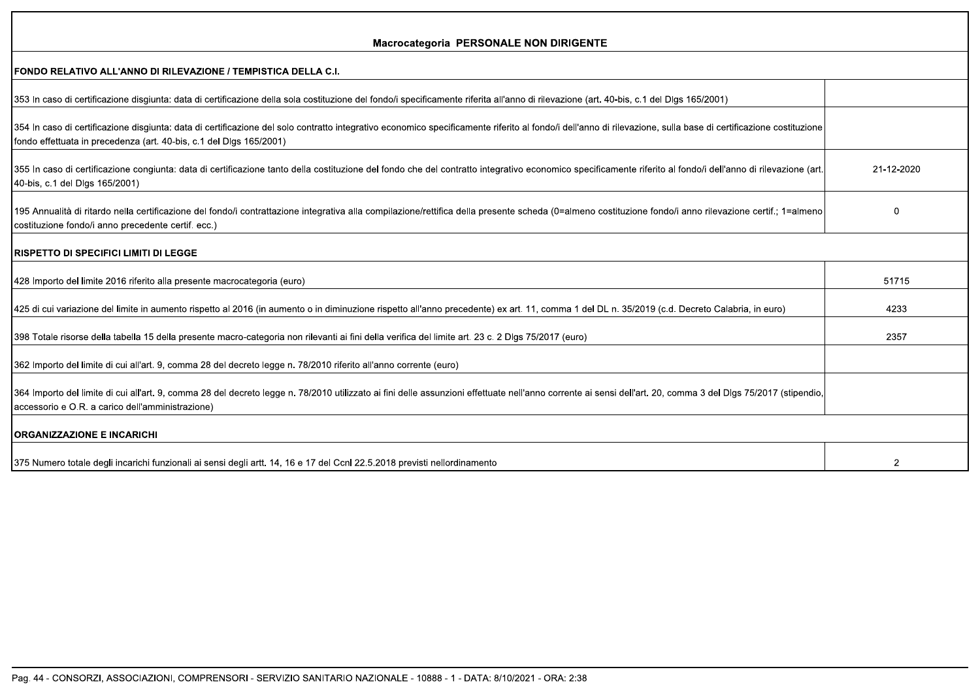| <b>Macrocategoria PERSONALE NON DIRIGENTE</b>                                                                                                                                                                                                                                          |               |
|----------------------------------------------------------------------------------------------------------------------------------------------------------------------------------------------------------------------------------------------------------------------------------------|---------------|
| FONDO RELATIVO ALL'ANNO DI RILEVAZIONE / TEMPISTICA DELLA C.I.                                                                                                                                                                                                                         |               |
| 353 In caso di certificazione disgiunta: data di certificazione della sola costituzione del fondo/i specificamente riferita all'anno di rilevazione (art. 40-bis, c.1 del Dlgs 165/2001)                                                                                               |               |
| 354 In caso di certificazione disgiunta: data di certificazione del solo contratto integrativo economico specificamente riferito al fondo/i dell'anno di rilevazione, sulla base di certificazione costituzione<br>fondo effettuata in precedenza (art. 40-bis, c.1 del Dlgs 165/2001) |               |
| 355 In caso di certificazione congiunta: data di certificazione tanto della costituzione del fondo che del contratto integrativo economico specificamente riferito al fondo/i dell'anno di rilevazione (art<br>40-bis, c.1 del Dlgs 165/2001)                                          | 21-12-2020    |
| 195 Annualità di ritardo nella certificazione del fondo/i contrattazione integrativa alla compilazione/rettifica della presente scheda (0=almeno costituzione fondo/i anno rilevazione certif.; 1=almeno<br>costituzione fondo/i anno precedente certif. ecc.)                         | $\Omega$      |
| <b>RISPETTO DI SPECIFICI LIMITI DI LEGGE</b>                                                                                                                                                                                                                                           |               |
| 428 Importo del limite 2016 riferito alla presente macrocategoria (euro)                                                                                                                                                                                                               | 51715         |
| 425 di cui variazione del limite in aumento rispetto al 2016 (in aumento o in diminuzione rispetto all'anno precedente) ex art. 11, comma 1 del DL n. 35/2019 (c.d. Decreto Calabria, in euro)                                                                                         | 4233          |
| 398 Totale risorse della tabella 15 della presente macro-categoria non rilevanti ai fini della verifica del limite art. 23 c. 2 Dlgs 75/2017 (euro)                                                                                                                                    | 2357          |
| 362 Importo del limite di cui all'art. 9, comma 28 del decreto legge n. 78/2010 riferito all'anno corrente (euro)                                                                                                                                                                      |               |
| 364 Importo del limite di cui all'art. 9, comma 28 del decreto legge n. 78/2010 utilizzato ai fini delle assunzioni effettuate nell'anno corrente ai sensi dell'art. 20, comma 3 del Dlgs 75/2017 (stipendio,<br>accessorio e O.R. a carico dell'amministrazione)                      |               |
| <b>ORGANIZZAZIONE E INCARICHI</b>                                                                                                                                                                                                                                                      |               |
| 375 Numero totale degli incarichi funzionali ai sensi degli artt. 14, 16 e 17 del Ccnl 22.5.2018 previsti nellordinamento                                                                                                                                                              | $\mathcal{P}$ |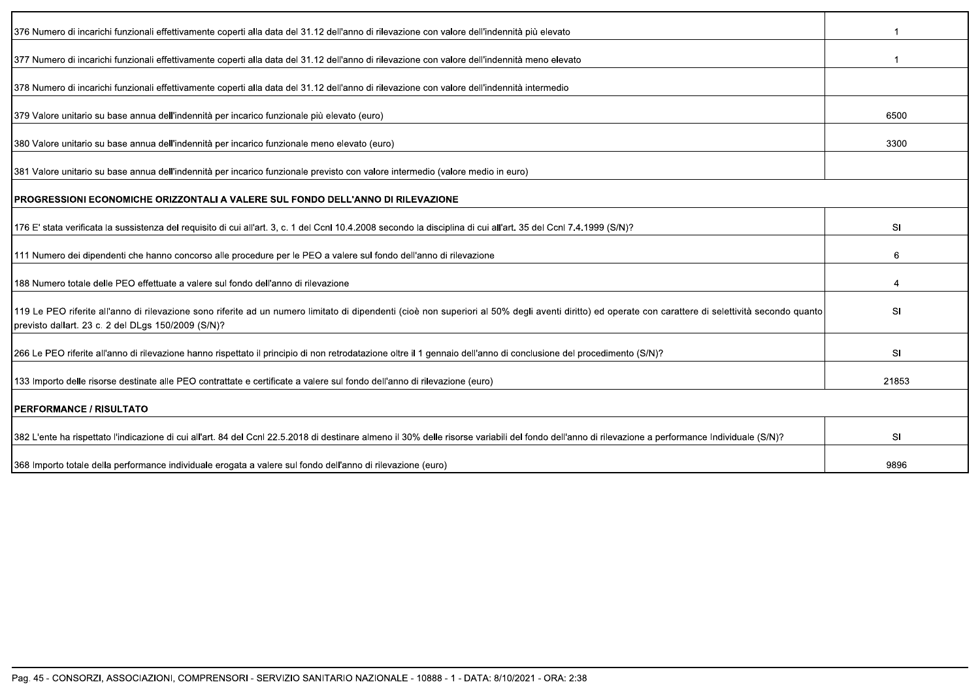| 376 Numero di incarichi funzionali effettivamente coperti alla data del 31.12 dell'anno di rilevazione con valore dell'indennità più elevato                                                                                                                |           |
|-------------------------------------------------------------------------------------------------------------------------------------------------------------------------------------------------------------------------------------------------------------|-----------|
| 377 Numero di incarichi funzionali effettivamente coperti alla data del 31.12 dell'anno di rilevazione con valore dell'indennità meno elevato                                                                                                               |           |
| 378 Numero di incarichi funzionali effettivamente coperti alla data del 31.12 dell'anno di rilevazione con valore dell'indennità intermedio                                                                                                                 |           |
| 379 Valore unitario su base annua dell'indennità per incarico funzionale più elevato (euro)                                                                                                                                                                 | 6500      |
| 380 Valore unitario su base annua dell'indennità per incarico funzionale meno elevato (euro)                                                                                                                                                                | 3300      |
| 381 Valore unitario su base annua dell'indennità per incarico funzionale previsto con valore intermedio (valore medio in euro)                                                                                                                              |           |
| IPROGRESSIONI ECONOMICHE ORIZZONTALI A VALERE SUL FONDO DELL'ANNO DI RILEVAZIONE                                                                                                                                                                            |           |
| 176 E' stata verificata la sussistenza del requisito di cui all'art. 3, c. 1 del Ccnl 10.4.2008 secondo la disciplina di cui all'art. 35 del Ccnl 7.4.1999 (S/N)?                                                                                           | SI        |
| 111 Numero dei dipendenti che hanno concorso alle procedure per le PEO a valere sul fondo dell'anno di rilevazione                                                                                                                                          | 6         |
| 188 Numero totale delle PEO effettuate a valere sul fondo dell'anno di rilevazione                                                                                                                                                                          |           |
| 119 Le PEO riferite all'anno di rilevazione sono riferite ad un numero limitato di dipendenti (cioè non superiori al 50% degli aventi diritto) ed operate con carattere di selettività secondo quanto<br>previsto dallart. 23 c. 2 del DLgs 150/2009 (S/N)? | SI        |
| 266 Le PEO riferite all'anno di rilevazione hanno rispettato il principio di non retrodatazione oltre il 1 gennaio dell'anno di conclusione del procedimento (S/N)?                                                                                         | <b>SI</b> |
| 133 Importo delle risorse destinate alle PEO contrattate e certificate a valere sul fondo dell'anno di rilevazione (euro)                                                                                                                                   | 21853     |
| <b>IPERFORMANCE / RISULTATO</b>                                                                                                                                                                                                                             |           |
| 382 L'ente ha rispettato l'indicazione di cui all'art. 84 del Ccnl 22.5.2018 di destinare almeno il 30% delle risorse variabili del fondo dell'anno di rilevazione a performance Individuale (S/N)?                                                         | SI        |
| 368 Importo totale della performance individuale erogata a valere sul fondo dell'anno di rilevazione (euro)                                                                                                                                                 | 9896      |